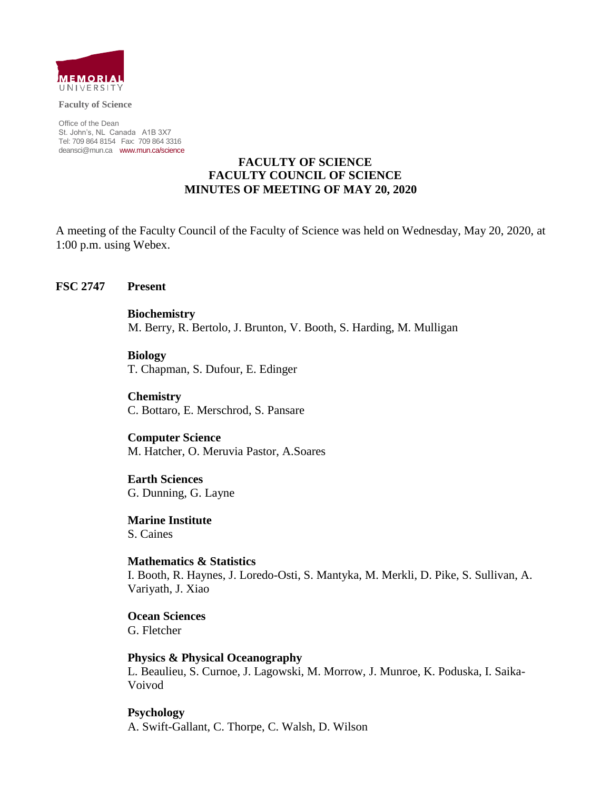

**Faculty of Science**

Office of the Dean St. John's, NL Canada A1B 3X7 Tel: 709 864 8154 Fax: 709 864 3316 [deansci@mun.ca](mailto:deansci@mun.ca) [www.mun.ca/science](http://www.mun.ca/science)

### **FACULTY OF SCIENCE FACULTY COUNCIL OF SCIENCE MINUTES OF MEETING OF MAY 20, 2020**

A meeting of the Faculty Council of the Faculty of Science was held on Wednesday, May 20, 2020, at 1:00 p.m. using Webex.

#### **FSC 2747 Present**

**Biochemistry** M. Berry, R. Bertolo, J. Brunton, V. Booth, S. Harding, M. Mulligan

**Biology** T. Chapman, S. Dufour, E. Edinger

**Chemistry** C. Bottaro, E. Merschrod, S. Pansare

**Computer Science** M. Hatcher, O. Meruvia Pastor, A.Soares

**Earth Sciences** G. Dunning, G. Layne

**Marine Institute** S. Caines

**Mathematics & Statistics** I. Booth, R. Haynes, J. Loredo-Osti, S. Mantyka, M. Merkli, D. Pike, S. Sullivan, A. Variyath, J. Xiao

**Ocean Sciences** G. Fletcher

**Physics & Physical Oceanography** L. Beaulieu, S. Curnoe, J. Lagowski, M. Morrow, J. Munroe, K. Poduska, I. Saika-Voivod

**Psychology** A. Swift-Gallant, C. Thorpe, C. Walsh, D. Wilson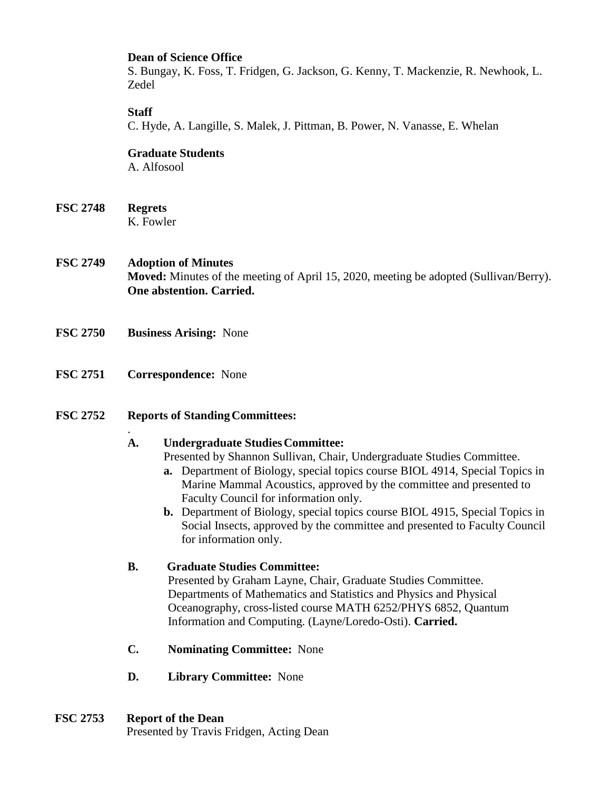### **Dean of Science Office**

S. Bungay, K. Foss, T. Fridgen, G. Jackson, G. Kenny, T. Mackenzie, R. Newhook, L. Zedel

### **Staff**

C. Hyde, A. Langille, S. Malek, J. Pittman, B. Power, N. Vanasse, E. Whelan

**Graduate Students** A. Alfosool

**FSC 2748 Regrets** K. Fowler

- **FSC 2749 Adoption of Minutes Moved:** Minutes of the meeting of April 15, 2020, meeting be adopted (Sullivan/Berry). **One abstention. Carried.**
- **FSC 2750 Business Arising:** None
- **FSC 2751 Correspondence:** None

.

### **FSC** 2752 **Reports of Standing Committees:**

### **A. Undergraduate StudiesCommittee:**

Presented by Shannon Sullivan, Chair, Undergraduate Studies Committee.

- **a.** Department of Biology, special topics course BIOL 4914, Special Topics in Marine Mammal Acoustics, approved by the committee and presented to Faculty Council for information only.
- **b.** Department of Biology, special topics course BIOL 4915, Special Topics in Social Insects, approved by the committee and presented to Faculty Council for information only.

# **B. Graduate Studies Committee:**

Presented by Graham Layne, Chair, Graduate Studies Committee. Departments of Mathematics and Statistics and Physics and Physical Oceanography, cross-listed course MATH 6252/PHYS 6852, Quantum Information and Computing. (Layne/Loredo-Osti). **Carried.**

- **C. Nominating Committee:** None
- **D. Library Committee:** None

# **FSC 2753 Report of the Dean**

Presented by Travis Fridgen, Acting Dean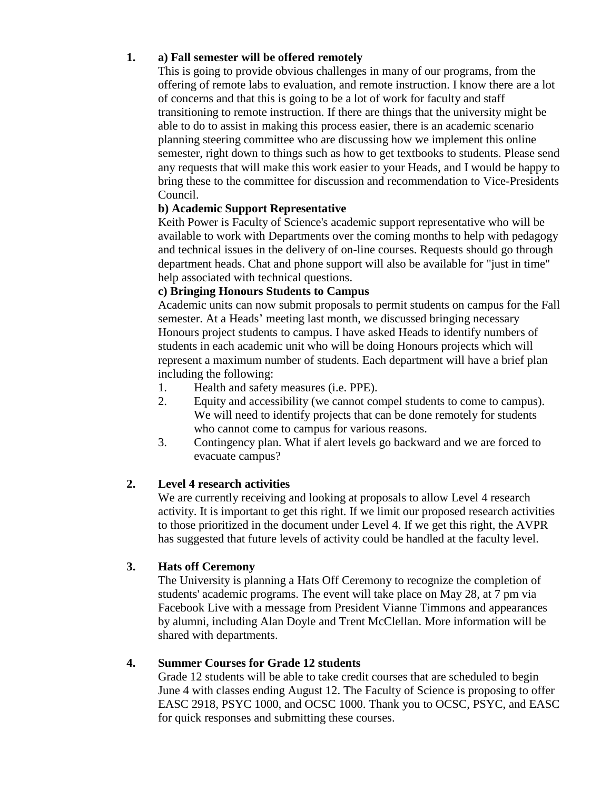# **1. a) Fall semester will be offered remotely**

This is going to provide obvious challenges in many of our programs, from the offering of remote labs to evaluation, and remote instruction. I know there are a lot of concerns and that this is going to be a lot of work for faculty and staff transitioning to remote instruction. If there are things that the university might be able to do to assist in making this process easier, there is an academic scenario planning steering committee who are discussing how we implement this online semester, right down to things such as how to get textbooks to students. Please send any requests that will make this work easier to your Heads, and I would be happy to bring these to the committee for discussion and recommendation to Vice-Presidents Council.

# **b) Academic Support Representative**

Keith Power is Faculty of Science's academic support representative who will be available to work with Departments over the coming months to help with pedagogy and technical issues in the delivery of on-line courses. Requests should go through department heads. Chat and phone support will also be available for "just in time" help associated with technical questions.

# **c) Bringing Honours Students to Campus**

Academic units can now submit proposals to permit students on campus for the Fall semester. At a Heads' meeting last month, we discussed bringing necessary Honours project students to campus. I have asked Heads to identify numbers of students in each academic unit who will be doing Honours projects which will represent a maximum number of students. Each department will have a brief plan including the following:

- 1. Health and safety measures (i.e. PPE).
- 2. Equity and accessibility (we cannot compel students to come to campus). We will need to identify projects that can be done remotely for students who cannot come to campus for various reasons.
- 3. Contingency plan. What if alert levels go backward and we are forced to evacuate campus?

# **2. Level 4 research activities**

We are currently receiving and looking at proposals to allow Level 4 research activity. It is important to get this right. If we limit our proposed research activities to those prioritized in the document under Level 4. If we get this right, the AVPR has suggested that future levels of activity could be handled at the faculty level.

# **3. Hats off Ceremony**

The University is planning a Hats Off Ceremony to recognize the completion of students' academic programs. The event will take place on May 28, at 7 pm via Facebook Live with a message from President Vianne Timmons and appearances by alumni, including Alan Doyle and Trent McClellan. More information will be shared with departments.

# **4. Summer Courses for Grade 12 students**

Grade 12 students will be able to take credit courses that are scheduled to begin June 4 with classes ending August 12. The Faculty of Science is proposing to offer EASC 2918, PSYC 1000, and OCSC 1000. Thank you to OCSC, PSYC, and EASC for quick responses and submitting these courses.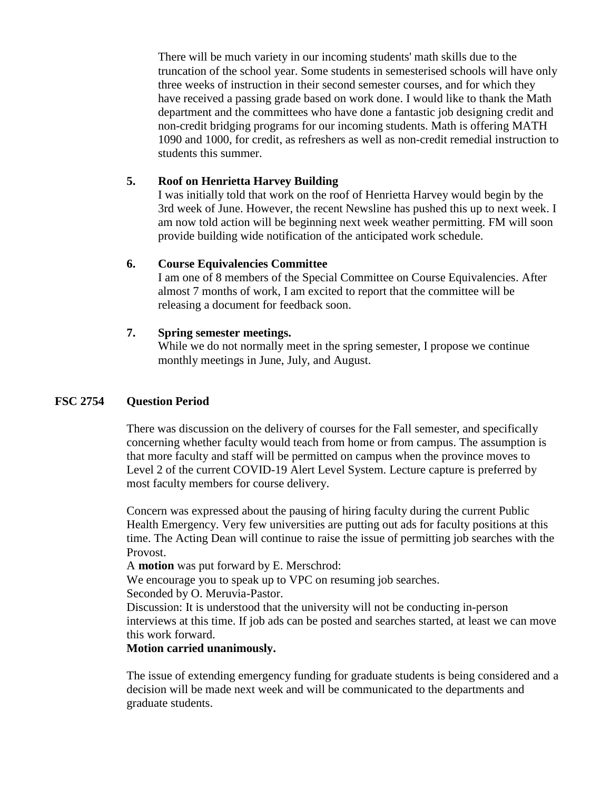There will be much variety in our incoming students' math skills due to the truncation of the school year. Some students in semesterised schools will have only three weeks of instruction in their second semester courses, and for which they have received a passing grade based on work done. I would like to thank the Math department and the committees who have done a fantastic job designing credit and non-credit bridging programs for our incoming students. Math is offering MATH 1090 and 1000, for credit, as refreshers as well as non-credit remedial instruction to students this summer.

# **5. Roof on Henrietta Harvey Building**

I was initially told that work on the roof of Henrietta Harvey would begin by the 3rd week of June. However, the recent Newsline has pushed this up to next week. I am now told action will be beginning next week weather permitting. FM will soon provide building wide notification of the anticipated work schedule.

# **6. Course Equivalencies Committee**

I am one of 8 members of the Special Committee on Course Equivalencies. After almost 7 months of work, I am excited to report that the committee will be releasing a document for feedback soon.

# **7. Spring semester meetings.**

While we do not normally meet in the spring semester, I propose we continue monthly meetings in June, July, and August.

# **FSC 2754 Question Period**

There was discussion on the delivery of courses for the Fall semester, and specifically concerning whether faculty would teach from home or from campus. The assumption is that more faculty and staff will be permitted on campus when the province moves to Level 2 of the current COVID-19 Alert Level System. Lecture capture is preferred by most faculty members for course delivery.

Concern was expressed about the pausing of hiring faculty during the current Public Health Emergency. Very few universities are putting out ads for faculty positions at this time. The Acting Dean will continue to raise the issue of permitting job searches with the Provost.

A **motion** was put forward by E. Merschrod:

We encourage you to speak up to VPC on resuming job searches.

Seconded by O. Meruvia-Pastor.

Discussion: It is understood that the university will not be conducting in-person interviews at this time. If job ads can be posted and searches started, at least we can move this work forward.

# **Motion carried unanimously.**

The issue of extending emergency funding for graduate students is being considered and a decision will be made next week and will be communicated to the departments and graduate students.